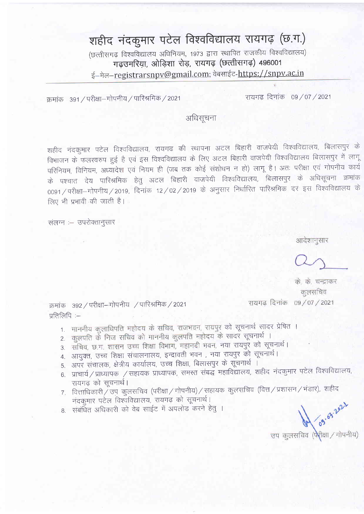## शहीद नंदकुमार पटेल विश्वविद्यालय रायगढ़ (छ.ग.) (छत्तीसगढ़ विश्वविद्यालय अधिनियम, 1973 द्वारा स्थापित राजकीय विश्वविद्यालय) गढ़उमरिया, ओड़िशा रोड़, रायगढ़ (छत्तीसगढ़) 496001

ई–मेल–registrarsnpv@gmail.com; वेबसाईट-https://snpv.ac.in

क्रमांक 391 / परीक्षा-गोपनीय / पारिश्रमिक / 2021

रायगढ दिनांक 09/07/2021

अधिसूचना

शहीद नंदकुमार पटेल विश्वविद्यालय, रायगढ की स्थापना अटल बिहारी वाजपेयी विश्वविद्यालय, बिलासपुर के विभाजन के फलस्वरुप हुई है एवं इस विश्वविद्यालय के लिए अटल बिहारी वाजपेयी विश्वविद्यालय बिलासपुर में लागू परिनियम, विनियम, अध्यादेश एवं नियम ही (जब तक कोई संशोधन न हो) लागू है। अतः परीक्षा एवं गोपनीय कार्य के पश्चात देय पारिश्रमिक हेतु अटल बिहारी वाजपेयी विश्वविद्यालय, बिलासपुर के अधिसूचना क्रमांक 0091/परीक्षा-गोपनीय/2019, दिनांक 12/02/2019 के अनुसार निर्धारित पारिश्रमिक दर इस विश्वविद्यालय के लिए भी प्रभावी की जाती है।

संलग्न :- उपरोक्तानुसार

आदेशानुसार

के. के. चन्द्राकर कुलसचिव रायगढ दिनांक 09/07/2021

क्रमांक 392 / परीक्षा-गोपनीय / पारिश्रमिक / 2021 प्रतिलिपि :-

- 1. माननीय कुलाधिपति महोदय के सचिव, राजभवन, रायपुर को सूचनार्थ सादर प्रेषित ।
- 2. कुलपति के निज सचिव को माननीय कुलपति महोदय के सादर सूचनार्थ ।
- 3. सचिव, छ.ग. शासन उच्च शिक्षा विभाग, महानदी भवन, नया रायपुर को सूचनार्थ।
- 4. आयुक्त, उच्च शिक्षा संचालनालय, इन्द्रावती भवन), नया रायपुर को सूचनार्थ।
- 5. अपर संचालक, क्षेत्रीय कार्यालय, उच्च शिक्षा, बिलासपुर के सूचनार्थ।
- 6. प्राचार्य / प्राध्यापक / सहायक प्राध्यापक, समस्त संबद्ध महाविद्यालय, शहीद नंदकुमार पटेल विश्वविद्यालय, रायगढ़ को सूचनार्थ।
- 7. वित्ताधिकारी $\check{/}$ उप कुलसचिव (परीक्षा $\diagup$ गोपनीय) $\diagup$ सहायक कुलसचिव (वित्त $\diagup$ प्रशासन $\diagup$ भंडार), शहीद नंदकुमार पटेल विश्वविद्यालय, रायगढ़ को सूचनार्थ।
- 8. संबंधित अधिकारी को वेब साईट में अपलोड करने हेतु ।

09.03.2021 उप कुलसचिव (पेरीक्षा / गोपनीय)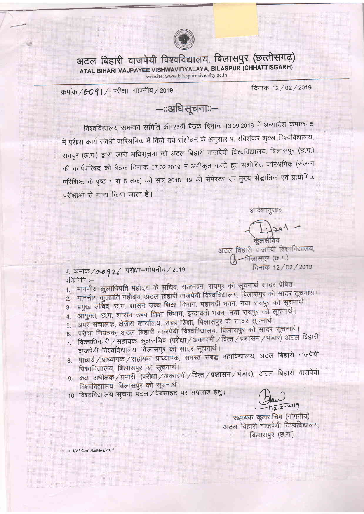

अटल बिहारी वाजपेयी विश्वविद्यालय, बिलासपुर (छत्तीसगढ़) ATAL BIHARI VAJPAYEE VISHWAVIDYALAYA, BILASPUR (CHHATTISGARH) website: www.bilaspuruniversity.ac.in

दिनांक 12 / 02 / 2019

क्रमांक / 0091 / परीक्षा-गोपनीय / 2019

—::अधिसूचनाः:—

विश्वविद्यालय समन्वय समिति की 26वीं बैठक दिनांक 13.09.2018 में अध्यादेश क्रमांक-5 में परीक्षा कार्य संबंधी पारिश्रमिक में किये गये संशोधन के अनुसार पं. रविशंकर शुक्ल विश्वविद्यालय, रायपुर (छ.ग.) द्वारा जारी अधिसूचना को अटल बिहारी वाजपेयी विश्वविद्यालय, बिलासपुर (छ.ग.) की कार्यपरिषद की बैठक दिनांक 07.02.2019 में अंगीकृत करते हुए संशोधित पारिश्रमिक (संलग्न परिशिष्ट के पृष्ठ 1 से 5 तक) को सत्र 2018–19 की सेमेस्टर एवं मुख्य सैद्धांतिक एवं प्रायोगिक परीक्षाओं से मान्य किया जाता है।

आदेशानुसार

 $\frac{1.1391}{4.1391}$ 

अटल बिहारी वाजपेयी विश्वविद्यालय, -बिलासपुर (छ.ग.) दिनांक 12 / 02 / 2019

पृ. क्रमांक / 0 0 9 2 / परीक्षा-गोपनीय / 2019 प्रतिलिपि :-

- 1. माननीय कुलाधिपति महोदय के सचिव, राजभवन, रायपुर को सूचनार्थ सादर प्रेषित।
- 2. माननीय कुलपति महोदय, अटल बिहारी वाजपेयी विश्वविद्यालय, बिलासपुर को सादर सूचनार्थ।
- 3. प्रमुख सचिव, छ.ग. शासन उच्च शिक्षा विभाग, महानदी भवन, नया रायपुर को सूचनार्थ। 4. आयुक्त, छ.ग. शासन उच्च शिक्षा विभाग, इन्द्रावती भवन, नया रायपुर को सूचनार्थ।
- 5. अपर संचालक, क्षेत्रीय कार्यालय, उच्च शिक्षा, बिलासपुर के सादर सूचनार्थ।
- परीक्षा नियंत्रक, अटल बिहारी वाजपेयी विश्वविद्यालय, बिलासपुर को सादर सूचनार्थ।
- 6. वित्ताधिकारी / सहायक कुलसचिव (परीक्षा / अकादमी / वित्त / प्रशासन / भंडार) अटल बिहारी
- $7.$ वाजपेयी विश्वविद्यालय, बिलासपुर को सादर सूचनार्थ।
- 8. प्राचार्य/प्राध्यापक/सहायक प्राध्यापक, समस्त संबद्ध महाविद्यालय, अटल बिहारी वाजपेयी विश्वविद्यालय, बिलासपुर को सूचनार्थ।
- 9. कक्ष अधीक्षक / प्रभारी (परीक्षा / अकादमी / वित्त / प्रशासन / भंडार), अटल बिहारी वाजपेयी विश्वविद्यालय, बिलासपुर को सूचनार्थ।
- 10. विश्वविद्यालय सूचना पटल / वेबसाइट पर अपलोड हेतु।

 $12.2.2019$ 

सहायक कुलसचिव (गोपनीय) अटल बिहारी वाजपेयी विश्वविद्यालय, बिलासपुर (छ.ग.)

BU/AR Conf./Letters/2018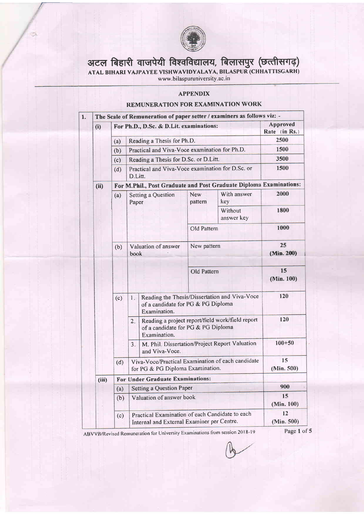

## अटल बिहारी वाजपेयी विश्वविद्यालय, बिलासपुर (छत्तीसगढ़)

ATAL BIHARI VAJPAYEE VISHWAVIDYALAYA, BILASPUR (CHHATTISGAI

## **APPENDIX**

## REMUNERATION FOR EXAMINATION WORK

| The Scale of Remuneration of paper setter / examiners as follows viz: - |                                                                                                         |                                                                                               |                                                                  |                  |                                                  |                           |
|-------------------------------------------------------------------------|---------------------------------------------------------------------------------------------------------|-----------------------------------------------------------------------------------------------|------------------------------------------------------------------|------------------|--------------------------------------------------|---------------------------|
| (i)                                                                     |                                                                                                         | For Ph.D., D.Sc. & D.Lit. examinations:                                                       |                                                                  |                  |                                                  | Approved<br>Rate (in Rs.) |
|                                                                         | (a)                                                                                                     | Reading a Thesis for Ph.D.                                                                    |                                                                  |                  |                                                  | 2500                      |
|                                                                         | Practical and Viva-Voce examination for Ph.D.<br>(b)                                                    |                                                                                               |                                                                  |                  |                                                  | 1500                      |
|                                                                         | Reading a Thesis for D.Sc. or D.Litt.<br>(c)<br>Practical and Viva-Voce examination for D.Sc. or<br>(d) |                                                                                               |                                                                  |                  | 3500                                             |                           |
|                                                                         |                                                                                                         |                                                                                               |                                                                  |                  | 1500                                             |                           |
|                                                                         |                                                                                                         | D.Litt.                                                                                       |                                                                  |                  |                                                  |                           |
| (ii)                                                                    | For M.Phil., Post Graduate and Post Graduate Diploma Examinations:                                      |                                                                                               |                                                                  |                  |                                                  |                           |
|                                                                         | (a)                                                                                                     | Setting a Question<br>Paper                                                                   |                                                                  | New<br>pattern   | With answer<br>key                               | 2000                      |
|                                                                         |                                                                                                         |                                                                                               |                                                                  |                  | Without<br>answer key                            | 1800                      |
|                                                                         |                                                                                                         |                                                                                               |                                                                  | Old Pattern      |                                                  | 1000                      |
|                                                                         |                                                                                                         | Valuation of answer<br>(b)<br>book.                                                           |                                                                  | New pattern      |                                                  | 25                        |
|                                                                         |                                                                                                         |                                                                                               |                                                                  |                  |                                                  | (Min. 200)                |
|                                                                         |                                                                                                         |                                                                                               |                                                                  | Old Pattern      |                                                  | 15<br>(Min. 100)          |
|                                                                         | (c)                                                                                                     | $\mathbf{L}$                                                                                  | of a candidate for PG & PG Diploma<br>Examination.               |                  | Reading the Thesis/Dissertation and Viva-Voce    | 120                       |
|                                                                         |                                                                                                         | 2.                                                                                            | of a candidate for PG & PG Diploma<br>Examination.               |                  | Reading a project report/field work/field report | 120                       |
|                                                                         |                                                                                                         | 3.                                                                                            | M. Phil. Dissertation/Project Report Valuation<br>and Viva-Voce. |                  | $100 + 50$                                       |                           |
|                                                                         | Viva-Voce/Practical Examination of each candidate<br>(d)<br>for PG & PG Diploma Examination.            |                                                                                               |                                                                  | 15<br>(Min. 500) |                                                  |                           |
| (iii)                                                                   | For Under Graduate Examinations:                                                                        |                                                                                               |                                                                  |                  |                                                  |                           |
|                                                                         | (a)                                                                                                     | Setting a Question Paper                                                                      |                                                                  |                  |                                                  | 900                       |
|                                                                         | (b)                                                                                                     | Valuation of answer book                                                                      |                                                                  |                  | 15<br>(Min. 100)                                 |                           |
|                                                                         | (c)                                                                                                     | Practical Examination of each Candidate to each<br>Internal and External Examiner per Centre. |                                                                  |                  | 12<br>(Min. 500)                                 |                           |

ABVVB/Revised Remuneration for University Examinations from session 2018-19 Page 1 of 5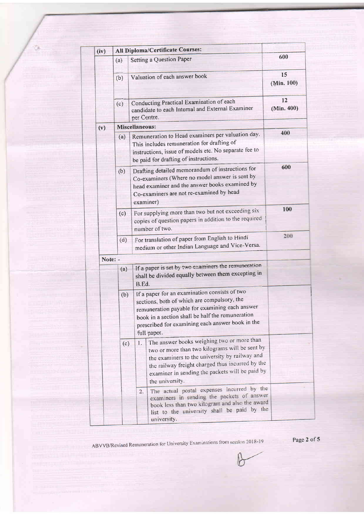| (iv)    | All Diploma/Certificate Courses:                                                                                                                                                                                                                                             | 600                                                                                                                                                                                                                                                                            |                  |  |  |  |
|---------|------------------------------------------------------------------------------------------------------------------------------------------------------------------------------------------------------------------------------------------------------------------------------|--------------------------------------------------------------------------------------------------------------------------------------------------------------------------------------------------------------------------------------------------------------------------------|------------------|--|--|--|
|         | (a)                                                                                                                                                                                                                                                                          | Setting a Question Paper                                                                                                                                                                                                                                                       |                  |  |  |  |
|         | (b)                                                                                                                                                                                                                                                                          | Valuation of each answer book                                                                                                                                                                                                                                                  | 15<br>(Min. 100) |  |  |  |
|         | (c)                                                                                                                                                                                                                                                                          | Conducting Practical Examination of each<br>candidate to each Internal and External Examiner<br>per Centre.                                                                                                                                                                    | 12<br>(Min. 400) |  |  |  |
| (v)     |                                                                                                                                                                                                                                                                              | Miscellaneous:                                                                                                                                                                                                                                                                 |                  |  |  |  |
|         | (a)                                                                                                                                                                                                                                                                          | Remuneration to Head examiners per valuation day.<br>This includes remuneration for drafting of<br>instructions, issue of models etc. No separate fee to<br>be paid for drafting of instructions.                                                                              |                  |  |  |  |
|         | (b)                                                                                                                                                                                                                                                                          | Drafting detailed memorandum of instructions for<br>Co-examiners (Where no model answer is sent by<br>head examiner and the answer books examined by<br>Co-examiners are not re-examined by head<br>examiner)                                                                  |                  |  |  |  |
|         | (c)                                                                                                                                                                                                                                                                          | 100                                                                                                                                                                                                                                                                            |                  |  |  |  |
|         | (d)                                                                                                                                                                                                                                                                          | For translation of paper from English to Hindi<br>medium or other Indian Language and Vice-Versa.                                                                                                                                                                              | 200              |  |  |  |
| Note: - |                                                                                                                                                                                                                                                                              |                                                                                                                                                                                                                                                                                |                  |  |  |  |
|         | (a)                                                                                                                                                                                                                                                                          | If a paper is set by two examiners the remuneration<br>shall be divided equally between them excepting in<br>B.Ed.                                                                                                                                                             |                  |  |  |  |
|         | If a paper for an examination consists of two<br>(b)<br>sections, both of which are compulsory, the<br>remuneration payable for examining each answer<br>book in a section shall be half the remuneration<br>prescribed for examining each answer book in the<br>full paper. |                                                                                                                                                                                                                                                                                |                  |  |  |  |
|         | (c)                                                                                                                                                                                                                                                                          | The answer books weighing two or more than<br>1.<br>two or more than two kilograms will be sent by<br>the examiners to the university by railway and<br>the railway freight charged thus incurred by the<br>examiner in sending the packets will be paid by<br>the university. |                  |  |  |  |
|         |                                                                                                                                                                                                                                                                              | The actual postal expenses incurred by the<br>2.<br>examiners in sending the packets of answer<br>book less than two kilogram and also the award<br>list to the university shall be paid by the<br>university.                                                                 |                  |  |  |  |

 $\mathcal{L}_{\mathcal{S}} = \{ \mathcal{L}_{\mathcal{S}} \}_{\mathcal{S}} \in \mathcal{S}$ 

<u>manifestive designations of the second second</u>

a philip control

<u>samaturi elitini mammanada</u>

**The Second Charles Control** 

**Form** 

ABVVB/Revised Remuneration for University Examinations from session 2018-19

Page 2 of 5

<u> Tan Maritim Andrewski</u>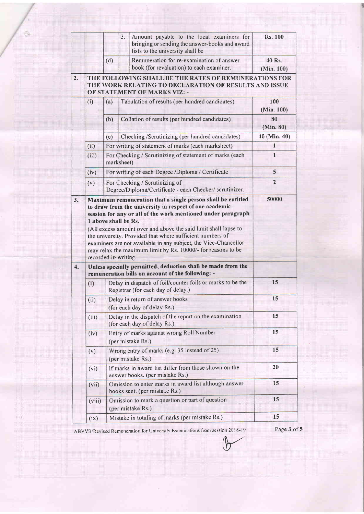|                  |                              |                                                                                                                | 3.<br>Amount payable to the local examiners for<br>bringing or sending the answer-books and award<br>lists to the university shall be                                                                                   | <b>Rs. 100</b>       |
|------------------|------------------------------|----------------------------------------------------------------------------------------------------------------|-------------------------------------------------------------------------------------------------------------------------------------------------------------------------------------------------------------------------|----------------------|
|                  |                              | (d)                                                                                                            | Remuneration for re-examination of answer<br>book (for revaluation) to each examiner.                                                                                                                                   | 40 Rs.<br>(Min. 100) |
| 2.               | OF STATEMENT OF MARKS VIZ: - | THE FOLLOWING SHALL BE THE RATES OF REMUNERATIONS FOR<br>THE WORK RELATING TO DECLARATION OF RESULTS AND ISSUE |                                                                                                                                                                                                                         |                      |
|                  | (i)                          | (a)                                                                                                            | Tabulation of results (per hundred candidates)                                                                                                                                                                          | 100<br>(Min. 100)    |
|                  |                              | (b)                                                                                                            | Collation of results (per hundred candidates)                                                                                                                                                                           | 80<br>(Min. 80)      |
|                  |                              | (c)                                                                                                            | Checking /Scrutinizing (per hundred candidates)                                                                                                                                                                         | 40 (Min. 40)         |
|                  | (ii)                         |                                                                                                                | For writing of statement of marks (each marksheet)                                                                                                                                                                      | $\mathbf{1}$         |
|                  | (iii)                        | For Checking / Scrutinizing of statement of marks (each<br>marksheet)                                          | 1                                                                                                                                                                                                                       |                      |
|                  | (iv)                         | For writing of each Degree /Diploma / Certificate                                                              |                                                                                                                                                                                                                         | 5                    |
|                  | (v)                          | For Checking / Scrutinizing of<br>Degree/Diploma/Certificate - each Checker/ scrutinizer.                      | $\overline{2}$                                                                                                                                                                                                          |                      |
|                  |                              |                                                                                                                | (All excess amount over and above the said limit shall lapse to<br>the university. Provided that where sufficient numbers of                                                                                            |                      |
| $\overline{4}$ . |                              |                                                                                                                | examiners are not available in any subject, the Vice-Chancellor<br>may relax the maximum limit by Rs. 10000/- for reasons to be<br>recorded in writing.<br>Unless specially permitted, deduction shall be made from the |                      |
|                  | (i)                          |                                                                                                                | remuneration bills on account of the following: -<br>Delay in dispatch of foil/counter foils or marks to be the                                                                                                         | 15                   |
|                  | (ii)                         |                                                                                                                | Registrar (for each day of delay.)<br>Delay in return of answer books<br>(for each day of delay Rs.)                                                                                                                    | 15                   |
|                  | (iii)                        |                                                                                                                | Delay in the dispatch of the report on the examination<br>(for each day of delay Rs.)                                                                                                                                   | 15                   |
|                  | (iv)                         |                                                                                                                | Entry of marks against wrong Roll Number<br>(per mistake Rs.)                                                                                                                                                           | 15                   |
|                  | (v)                          |                                                                                                                | Wrong entry of marks (e.g. 35 instead of 25)<br>(per mistake Rs.)                                                                                                                                                       | 15                   |
|                  | (vi)                         |                                                                                                                | If marks in award list differ from those shown on the<br>answer books. (per mistake Rs.)                                                                                                                                | 20                   |
|                  | (vii)                        |                                                                                                                | Omission to enter marks in award list although answer<br>books sent. (per mistake Rs.)                                                                                                                                  | 15                   |
|                  | (viii)                       |                                                                                                                | Omission to mark a question or part of question<br>(per mistake Rs.)<br>Mistake in totaling of marks (per mistake Rs.)                                                                                                  | 15<br>15             |

6

ABVVB/Revised Remuneration for University Examinations from session 2018-19 Page 3 of 5

 $\overline{1}$ 

 $\bigcirc$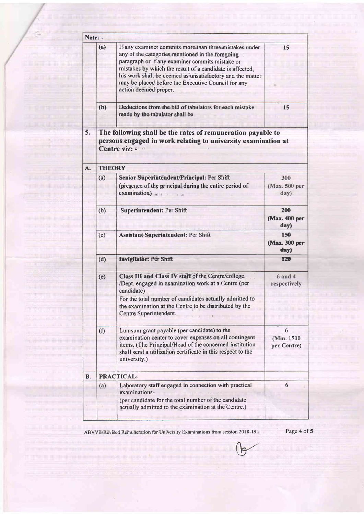| Note: -   |                                                                                                                                               |                                                                                                                                                                                                                                                                                                                                                                       |                                                         |  |  |  |  |
|-----------|-----------------------------------------------------------------------------------------------------------------------------------------------|-----------------------------------------------------------------------------------------------------------------------------------------------------------------------------------------------------------------------------------------------------------------------------------------------------------------------------------------------------------------------|---------------------------------------------------------|--|--|--|--|
|           | (a)                                                                                                                                           | If any examiner commits more than three mistakes under<br>any of the categories mentioned in the foregoing<br>paragraph or if any examiner commits mistake or<br>mistakes by which the result of a candidate is affected,<br>his work shall be deemed as unsatisfactory and the matter<br>may be placed before the Executive Council for any<br>action deemed proper. | $\overline{\phantom{1}}$ 15                             |  |  |  |  |
|           | (b)                                                                                                                                           | Deductions from the bill of tabulators for each mistake<br>made by the tabulator shall be                                                                                                                                                                                                                                                                             | 15                                                      |  |  |  |  |
| 5.        | The following shall be the rates of remuneration payable to<br>persons engaged in work relating to university examination at<br>Centre viz: - |                                                                                                                                                                                                                                                                                                                                                                       |                                                         |  |  |  |  |
| A.        | <b>THEORY</b>                                                                                                                                 |                                                                                                                                                                                                                                                                                                                                                                       |                                                         |  |  |  |  |
|           | (a)                                                                                                                                           | Senior Superintendent/Principal: Per Shift                                                                                                                                                                                                                                                                                                                            | 300                                                     |  |  |  |  |
|           |                                                                                                                                               | (presence of the principal during the entire period of<br>examination)                                                                                                                                                                                                                                                                                                | (Max. 500 per<br>day)                                   |  |  |  |  |
|           | (b)                                                                                                                                           | Superintendent: Per Shift                                                                                                                                                                                                                                                                                                                                             | 200<br>(Max. 400 per<br>day)                            |  |  |  |  |
|           | (c)                                                                                                                                           | Assistant Superintendent: Per Shift                                                                                                                                                                                                                                                                                                                                   | 150<br>(Max. 300 per<br>day)                            |  |  |  |  |
|           | (d)                                                                                                                                           | Invigilator: Per Shift                                                                                                                                                                                                                                                                                                                                                | 120                                                     |  |  |  |  |
|           | (e)                                                                                                                                           | Class III and Class IV staff of the Centre/college.<br>/Dept. engaged in examination work at a Centre (per<br>candidate)<br>For the total number of candidates actually admitted to<br>the examination at the Centre to be distributed by the<br>Centre Superintendent.                                                                                               | $6$ and $4$<br>respectively<br><u>ili mahaliminin m</u> |  |  |  |  |
|           | (f)                                                                                                                                           | Lumsum grant payable (per candidate) to the<br>examination center to cover expenses on all contingent<br>items. (The Principal/Head of the concerned institution<br>shall send a utilization certificate in this respect to the<br>university.)                                                                                                                       |                                                         |  |  |  |  |
| <b>B.</b> |                                                                                                                                               | PRACTICAL:                                                                                                                                                                                                                                                                                                                                                            |                                                         |  |  |  |  |
|           | (a)                                                                                                                                           | Laboratory staff engaged in connection with practical<br>examinations-<br>(per candidate for the total number of the candidate<br>actually admitted to the examination at the Centre.)                                                                                                                                                                                | 6<br><u> Handi İmalan</u>                               |  |  |  |  |

**Marine Committee** 

<u> 1989 - Johann Stoff, Amerikaansk politiker (\* 1958)</u>

a dan basar da bara da bara da da bara da da bara da bara da b

ABVVB/Revised Remuneration for University Examinations from session 2018-19

Page 4 of 5

<u>umang pematiman</u>